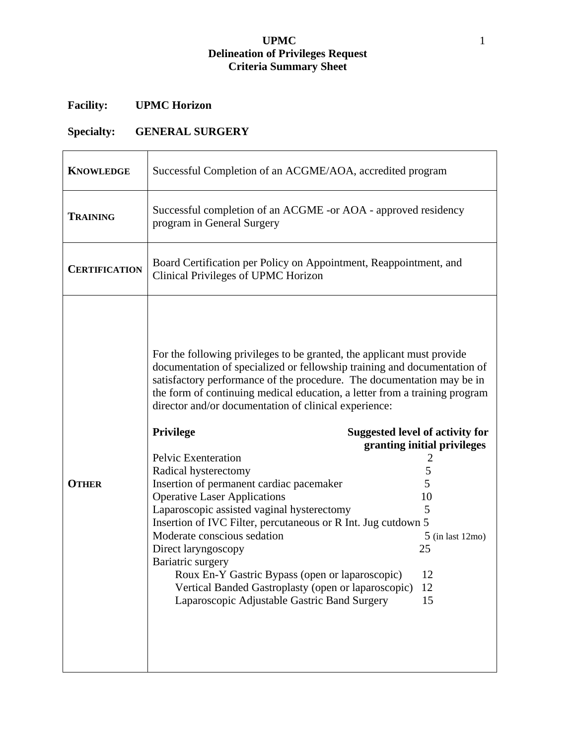## **UPMC** 1 **Delineation of Privileges Request Criteria Summary Sheet**

## **Facility: UPMC Horizon**

## **Specialty: GENERAL SURGERY**

| <b>KNOWLEDGE</b>     | Successful Completion of an ACGME/AOA, accredited program                                                                                                                                                                                                                                                                                                                                                                                                                                                                                                                                                                                                                                                                                                                                                                                                                     |                                                                                                                                          |  |
|----------------------|-------------------------------------------------------------------------------------------------------------------------------------------------------------------------------------------------------------------------------------------------------------------------------------------------------------------------------------------------------------------------------------------------------------------------------------------------------------------------------------------------------------------------------------------------------------------------------------------------------------------------------------------------------------------------------------------------------------------------------------------------------------------------------------------------------------------------------------------------------------------------------|------------------------------------------------------------------------------------------------------------------------------------------|--|
| <b>TRAINING</b>      | Successful completion of an ACGME -or AOA - approved residency<br>program in General Surgery                                                                                                                                                                                                                                                                                                                                                                                                                                                                                                                                                                                                                                                                                                                                                                                  |                                                                                                                                          |  |
| <b>CERTIFICATION</b> | Board Certification per Policy on Appointment, Reappointment, and<br>Clinical Privileges of UPMC Horizon                                                                                                                                                                                                                                                                                                                                                                                                                                                                                                                                                                                                                                                                                                                                                                      |                                                                                                                                          |  |
| <b>OTHER</b>         | For the following privileges to be granted, the applicant must provide<br>documentation of specialized or fellowship training and documentation of<br>satisfactory performance of the procedure. The documentation may be in<br>the form of continuing medical education, a letter from a training program<br>director and/or documentation of clinical experience:<br><b>Privilege</b><br>Pelvic Exenteration<br>Radical hysterectomy<br>Insertion of permanent cardiac pacemaker<br><b>Operative Laser Applications</b><br>Laparoscopic assisted vaginal hysterectomy<br>Insertion of IVC Filter, percutaneous or R Int. Jug cutdown 5<br>Moderate conscious sedation<br>Direct laryngoscopy<br>Bariatric surgery<br>Roux En-Y Gastric Bypass (open or laparoscopic)<br>Vertical Banded Gastroplasty (open or laparoscopic)<br>Laparoscopic Adjustable Gastric Band Surgery | <b>Suggested level of activity for</b><br>granting initial privileges<br>5<br>5<br>10<br>5<br>$5$ (in last 12mo)<br>25<br>12<br>12<br>15 |  |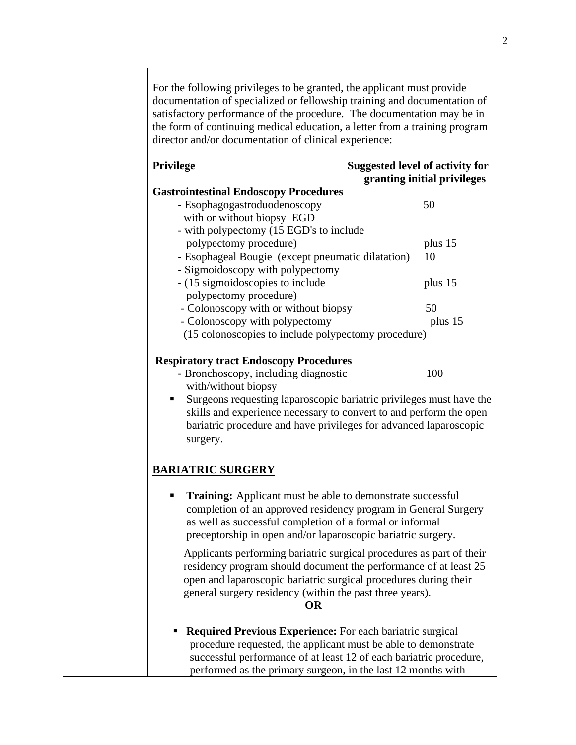For the following privileges to be granted, the applicant must provide documentation of specialized or fellowship training and documentation of satisfactory performance of the procedure. The documentation may be in the form of continuing medical education, a letter from a training program director and/or documentation of clinical experience:

| <b>Privilege</b>                                                              | <b>Suggested level of activity for</b><br>granting initial privileges |
|-------------------------------------------------------------------------------|-----------------------------------------------------------------------|
| <b>Gastrointestinal Endoscopy Procedures</b>                                  |                                                                       |
| - Esophagogastroduodenoscopy                                                  | 50                                                                    |
| with or without biopsy EGD                                                    |                                                                       |
| - with polypectomy (15 EGD's to include                                       |                                                                       |
| polypectomy procedure)                                                        | plus 15                                                               |
| - Esophageal Bougie (except pneumatic dilatation)                             | 10                                                                    |
| - Sigmoidoscopy with polypectomy                                              |                                                                       |
| - (15 sigmoidoscopies to include                                              | plus 15                                                               |
| polypectomy procedure)                                                        |                                                                       |
| - Colonoscopy with or without biopsy                                          | 50                                                                    |
| - Colonoscopy with polypectomy                                                | plus 15                                                               |
| (15 colonoscopies to include polypectomy procedure)                           |                                                                       |
| <b>Respiratory tract Endoscopy Procedures</b>                                 |                                                                       |
| - Bronchoscopy, including diagnostic                                          | 100                                                                   |
| with/without biopsy                                                           |                                                                       |
| ш                                                                             | Surgeons requesting laparoscopic bariatric privileges must have the   |
| skills and experience necessary to convert to and perform the open            |                                                                       |
| bariatric procedure and have privileges for advanced laparoscopic<br>surgery. |                                                                       |
| <b>BARIATRIC SURGERY</b>                                                      |                                                                       |
|                                                                               |                                                                       |
| <b>Training:</b> Applicant must be able to demonstrate successful<br>٠        |                                                                       |
| completion of an approved residency program in General Surgery                |                                                                       |
| as well as successful completion of a formal or informal                      |                                                                       |
| preceptorship in open and/or laparoscopic bariatric surgery.                  |                                                                       |
| Applicants performing bariatric surgical procedures as part of their          |                                                                       |
| residency program should document the performance of at least 25              |                                                                       |
| open and laparoscopic bariatric surgical procedures during their              |                                                                       |
| general surgery residency (within the past three years).                      |                                                                       |
| <b>OR</b>                                                                     |                                                                       |
| <b>Required Previous Experience:</b> For each bariatric surgical              |                                                                       |
| procedure requested, the applicant must be able to demonstrate                |                                                                       |
| successful performance of at least 12 of each bariatric procedure,            |                                                                       |
| performed as the primary surgeon, in the last 12 months with                  |                                                                       |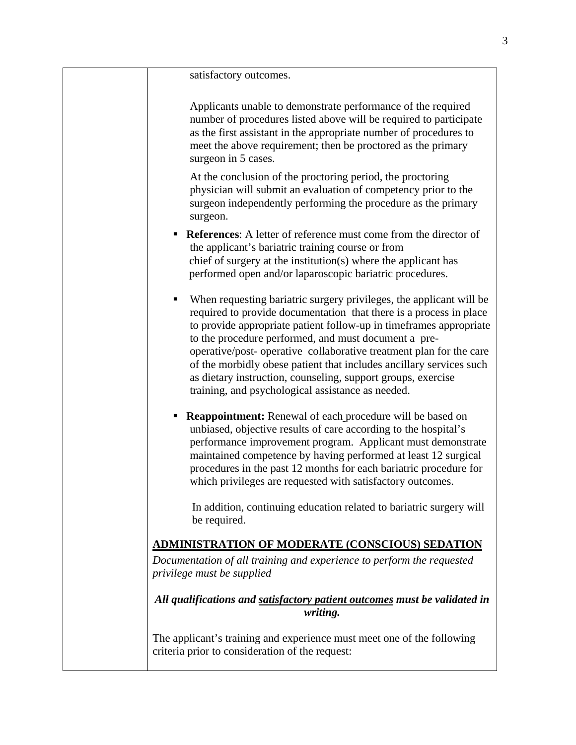satisfactory outcomes.

Applicants unable to demonstrate performance of the required number of procedures listed above will be required to participate as the first assistant in the appropriate number of procedures to meet the above requirement; then be proctored as the primary surgeon in 5 cases.

At the conclusion of the proctoring period, the proctoring physician will submit an evaluation of competency prior to the surgeon independently performing the procedure as the primary surgeon.

- **References:** A letter of reference must come from the director of the applicant's bariatric training course or from chief of surgery at the institution(s) where the applicant has performed open and/or laparoscopic bariatric procedures.
- When requesting bariatric surgery privileges, the applicant will be required to provide documentation that there is a process in place to provide appropriate patient follow-up in timeframes appropriate to the procedure performed, and must document a preoperative/post- operative collaborative treatment plan for the care of the morbidly obese patient that includes ancillary services such as dietary instruction, counseling, support groups, exercise training, and psychological assistance as needed.
- **Reappointment:** Renewal of each procedure will be based on unbiased, objective results of care according to the hospital's performance improvement program. Applicant must demonstrate maintained competence by having performed at least 12 surgical procedures in the past 12 months for each bariatric procedure for which privileges are requested with satisfactory outcomes.

 In addition, continuing education related to bariatric surgery will be required.

## **ADMINISTRATION OF MODERATE (CONSCIOUS) SEDATION**

*Documentation of all training and experience to perform the requested privilege must be supplied* 

*All qualifications and satisfactory patient outcomes must be validated in writing.* 

The applicant's training and experience must meet one of the following criteria prior to consideration of the request: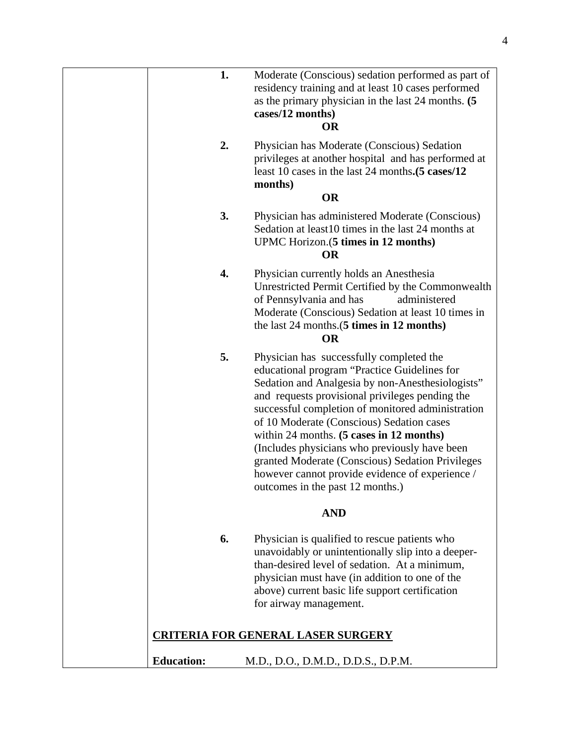|                   | 1.<br>Moderate (Conscious) sedation performed as part of<br>residency training and at least 10 cases performed<br>as the primary physician in the last 24 months. (5<br>cases/12 months)<br><b>OR</b>                                                                                                                                                                                                                                                                                                                                           |
|-------------------|-------------------------------------------------------------------------------------------------------------------------------------------------------------------------------------------------------------------------------------------------------------------------------------------------------------------------------------------------------------------------------------------------------------------------------------------------------------------------------------------------------------------------------------------------|
|                   | 2.<br>Physician has Moderate (Conscious) Sedation<br>privileges at another hospital and has performed at<br>least 10 cases in the last 24 months. (5 cases/12)<br>months)<br><b>OR</b>                                                                                                                                                                                                                                                                                                                                                          |
|                   |                                                                                                                                                                                                                                                                                                                                                                                                                                                                                                                                                 |
|                   | 3.<br>Physician has administered Moderate (Conscious)<br>Sedation at least10 times in the last 24 months at<br>UPMC Horizon. (5 times in 12 months)<br><b>OR</b>                                                                                                                                                                                                                                                                                                                                                                                |
|                   | 4.<br>Physician currently holds an Anesthesia<br>Unrestricted Permit Certified by the Commonwealth<br>of Pennsylvania and has<br>administered<br>Moderate (Conscious) Sedation at least 10 times in<br>the last 24 months.(5 times in 12 months)<br><b>OR</b>                                                                                                                                                                                                                                                                                   |
|                   | 5.<br>Physician has successfully completed the<br>educational program "Practice Guidelines for<br>Sedation and Analgesia by non-Anesthesiologists"<br>and requests provisional privileges pending the<br>successful completion of monitored administration<br>of 10 Moderate (Conscious) Sedation cases<br>within 24 months. (5 cases in 12 months)<br>(Includes physicians who previously have been<br>granted Moderate (Conscious) Sedation Privileges<br>however cannot provide evidence of experience /<br>outcomes in the past 12 months.) |
|                   | <b>AND</b>                                                                                                                                                                                                                                                                                                                                                                                                                                                                                                                                      |
|                   | 6.<br>Physician is qualified to rescue patients who<br>unavoidably or unintentionally slip into a deeper-<br>than-desired level of sedation. At a minimum,<br>physician must have (in addition to one of the<br>above) current basic life support certification<br>for airway management.                                                                                                                                                                                                                                                       |
|                   | <b>CRITERIA FOR GENERAL LASER SURGERY</b>                                                                                                                                                                                                                                                                                                                                                                                                                                                                                                       |
| <b>Education:</b> | M.D., D.O., D.M.D., D.D.S., D.P.M.                                                                                                                                                                                                                                                                                                                                                                                                                                                                                                              |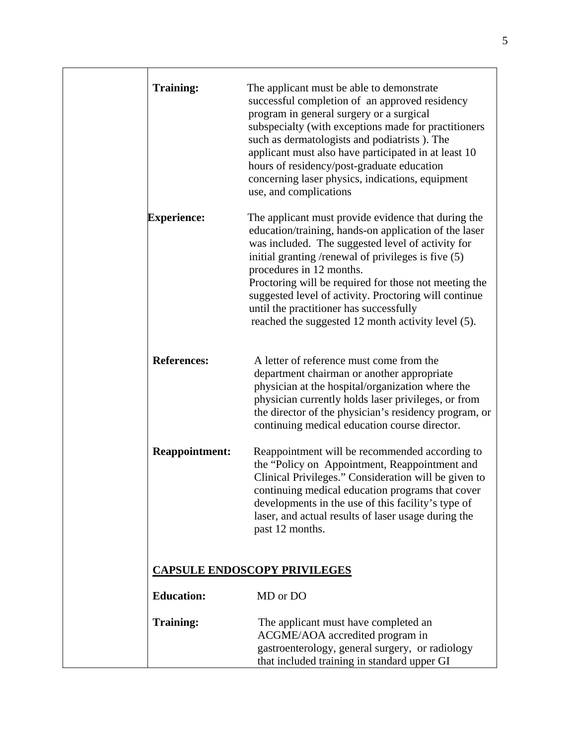| <b>Training:</b>                    | The applicant must be able to demonstrate<br>successful completion of an approved residency<br>program in general surgery or a surgical<br>subspecialty (with exceptions made for practitioners<br>such as dermatologists and podiatrists). The<br>applicant must also have participated in at least 10<br>hours of residency/post-graduate education<br>concerning laser physics, indications, equipment<br>use, and complications                                     |  |
|-------------------------------------|-------------------------------------------------------------------------------------------------------------------------------------------------------------------------------------------------------------------------------------------------------------------------------------------------------------------------------------------------------------------------------------------------------------------------------------------------------------------------|--|
| <b>Experience:</b>                  | The applicant must provide evidence that during the<br>education/training, hands-on application of the laser<br>was included. The suggested level of activity for<br>initial granting /renewal of privileges is five (5)<br>procedures in 12 months.<br>Proctoring will be required for those not meeting the<br>suggested level of activity. Proctoring will continue<br>until the practitioner has successfully<br>reached the suggested 12 month activity level (5). |  |
| <b>References:</b>                  | A letter of reference must come from the<br>department chairman or another appropriate<br>physician at the hospital/organization where the<br>physician currently holds laser privileges, or from<br>the director of the physician's residency program, or<br>continuing medical education course director.                                                                                                                                                             |  |
| <b>Reappointment:</b>               | Reappointment will be recommended according to<br>the "Policy on Appointment, Reappointment and<br>Clinical Privileges." Consideration will be given to<br>continuing medical education programs that cover<br>developments in the use of this facility's type of<br>laser, and actual results of laser usage during the<br>past 12 months.                                                                                                                             |  |
| <b>CAPSULE ENDOSCOPY PRIVILEGES</b> |                                                                                                                                                                                                                                                                                                                                                                                                                                                                         |  |
| <b>Education:</b>                   | MD or DO                                                                                                                                                                                                                                                                                                                                                                                                                                                                |  |
| <b>Training:</b>                    | The applicant must have completed an<br>ACGME/AOA accredited program in<br>gastroenterology, general surgery, or radiology<br>that included training in standard upper GI                                                                                                                                                                                                                                                                                               |  |